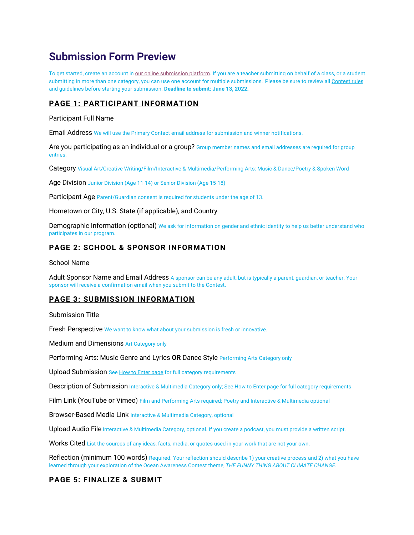# **Submission Form Preview**

To get started, create an account in our online submission platform. If you are a teacher submitting on behalf of a class, or a student submitting in more than one category, you can use one account for multiple submissions. Please be sure to review all Contest rules and guidelines before starting your submission. **Deadline to submit: June 13, 2022.**

# **PAGE 1: PARTICIPANT INFORMATION**

#### Participant Full Name

Email Address We will use the Primary Contact email address for submission and winner notifications.

Are you participating as an individual or a group? Group member names and email addresses are required for group entries.

Category Visual Art/Creative Writing/Film/Interactive & Multimedia/Performing Arts: Music & Dance/Poetry & Spoken Word

Age Division Junior Division (Age 11-14) or Senior Division (Age 15-18)

Participant Age Parent/Guardian consent is required for students under the age of 13.

Hometown or City, U.S. State (if applicable), and Country

Demographic Information (optional) We ask for information on gender and ethnic identity to help us better understand who participates in our program.

## **PAGE 2: SCHOOL & SPONSOR INFORMATION**

#### School Name

Adult Sponsor Name and Email Address A sponsor can be any adult, but is typically a parent, guardian, or teacher. Your sponsor will receive a confirmation email when you submit to the Contest.

## **PAGE 3: SUBMISSION INFORMATION**

Submission Title

Fresh Perspective We want to know what about your submission is fresh or innovative.

Medium and Dimensions Art Category only

Performing Arts: Music Genre and Lyrics **OR** Dance Style Performing Arts Category only

Upload Submission See How to Enter page for full category requirements

Description of Submission Interactive & Multimedia Category only; See How to Enter page for full category requirements

Film Link (YouTube or Vimeo) Film and Performing Arts required; Poetry and Interactive & Multimedia optional

Browser-Based Media Link Interactive & Multimedia Category, optional

Upload Audio File Interactive & Multimedia Category, optional. If you create a podcast, you must provide a written script.

Works Cited List the sources of any ideas, facts, media, or quotes used in your work that are not your own.

Reflection (minimum 100 words) Required. Your reflection should describe 1) your creative process and 2) what you have learned through your exploration of the Ocean Awareness Contest theme, *THE FUNNY THING ABOUT CLIMATE CHANGE*.

## **PAGE 5: FINALIZE & SUBMIT**